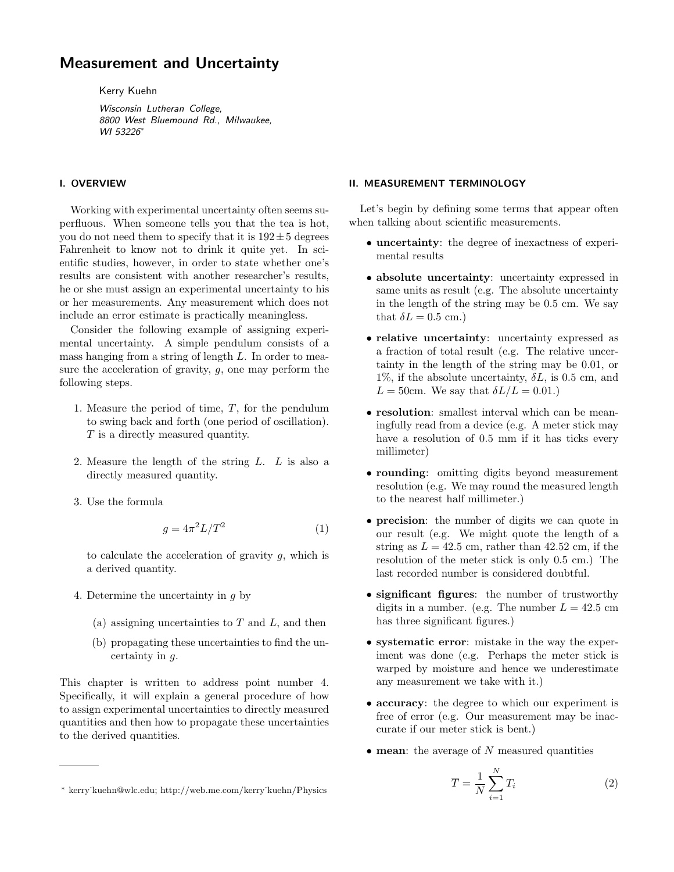# Measurement and Uncertainty

Kerry Kuehn

Wisconsin Lutheran College, 8800 West Bluemound Rd., Milwaukee, WI 53226<sup>\*</sup>

## I. OVERVIEW

Working with experimental uncertainty often seems superfluous. When someone tells you that the tea is hot, you do not need them to specify that it is  $192 \pm 5$  degrees Fahrenheit to know not to drink it quite yet. In scientific studies, however, in order to state whether one's results are consistent with another researcher's results, he or she must assign an experimental uncertainty to his or her measurements. Any measurement which does not include an error estimate is practically meaningless.

Consider the following example of assigning experimental uncertainty. A simple pendulum consists of a mass hanging from a string of length L. In order to measure the acceleration of gravity, g, one may perform the following steps.

- 1. Measure the period of time, T, for the pendulum to swing back and forth (one period of oscillation). T is a directly measured quantity.
- 2. Measure the length of the string  $L$ .  $L$  is also a directly measured quantity.
- 3. Use the formula

$$
g = 4\pi^2 L/T^2\tag{1}
$$

to calculate the acceleration of gravity  $g$ , which is a derived quantity.

- 4. Determine the uncertainty in g by
	- (a) assigning uncertainties to  $T$  and  $L$ , and then
	- (b) propagating these uncertainties to find the uncertainty in g.

This chapter is written to address point number 4. Specifically, it will explain a general procedure of how to assign experimental uncertainties to directly measured quantities and then how to propagate these uncertainties to the derived quantities.

# • absolute uncertainty: uncertainty expressed in

same units as result (e.g. The absolute uncertainty in the length of the string may be 0.5 cm. We say that  $\delta L = 0.5$  cm.)

Let's begin by defining some terms that appear often

• uncertainty: the degree of inexactness of experi-

II. MEASUREMENT TERMINOLOGY

mental results

when talking about scientific measurements.

- relative uncertainty: uncertainty expressed as a fraction of total result (e.g. The relative uncertainty in the length of the string may be 0.01, or 1%, if the absolute uncertainty,  $\delta L$ , is 0.5 cm, and  $L = 50$ cm. We say that  $\delta L/L = 0.01$ .
- resolution: smallest interval which can be meaningfully read from a device (e.g. A meter stick may have a resolution of 0.5 mm if it has ticks every millimeter)
- rounding: omitting digits beyond measurement resolution (e.g. We may round the measured length to the nearest half millimeter.)
- precision: the number of digits we can quote in our result (e.g. We might quote the length of a string as  $L = 42.5$  cm, rather than 42.52 cm, if the resolution of the meter stick is only 0.5 cm.) The last recorded number is considered doubtful.
- significant figures: the number of trustworthy digits in a number. (e.g. The number  $L = 42.5$  cm has three significant figures.)
- systematic error: mistake in the way the experiment was done (e.g. Perhaps the meter stick is warped by moisture and hence we underestimate any measurement we take with it.)
- accuracy: the degree to which our experiment is free of error (e.g. Our measurement may be inaccurate if our meter stick is bent.)
- $\bullet$  mean: the average of N measured quantities

$$
\overline{T} = \frac{1}{N} \sum_{i=1}^{N} T_i
$$
\n(2)

<sup>∗</sup> kerry˙kuehn@wlc.edu; http://web.me.com/kerry˙kuehn/Physics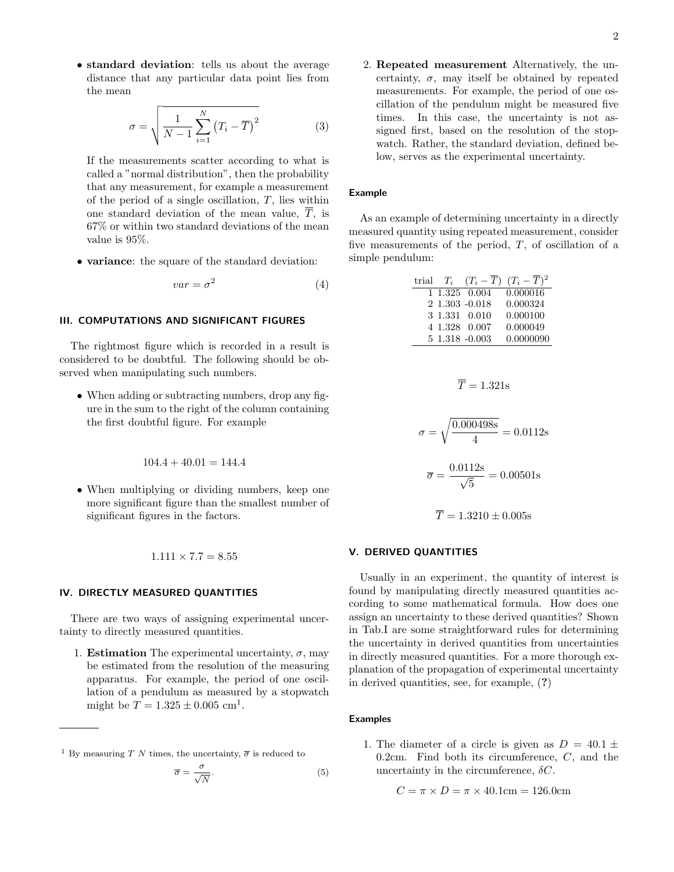• standard deviation: tells us about the average distance that any particular data point lies from the mean

$$
\sigma = \sqrt{\frac{1}{N-1} \sum_{i=1}^{N} (T_i - \overline{T})^2}
$$
 (3)

If the measurements scatter according to what is called a "normal distribution", then the probability that any measurement, for example a measurement of the period of a single oscillation,  $T$ , lies within one standard deviation of the mean value,  $\overline{T}$ , is 67% or within two standard deviations of the mean value is 95%.

• variance: the square of the standard deviation:

$$
var = \sigma^2 \tag{4}
$$

## III. COMPUTATIONS AND SIGNIFICANT FIGURES

The rightmost figure which is recorded in a result is considered to be doubtful. The following should be observed when manipulating such numbers.

• When adding or subtracting numbers, drop any figure in the sum to the right of the column containing the first doubtful figure. For example

$$
104.4 + 40.01 = 144.4
$$

• When multiplying or dividing numbers, keep one more significant figure than the smallest number of significant figures in the factors.

$$
1.111 \times 7.7 = 8.55
$$

#### IV. DIRECTLY MEASURED QUANTITIES

There are two ways of assigning experimental uncertainty to directly measured quantities.

1. **Estimation** The experimental uncertainty,  $\sigma$ , may be estimated from the resolution of the measuring apparatus. For example, the period of one oscillation of a pendulum as measured by a stopwatch might be  $T = 1.325 \pm 0.005$  cm<sup>1</sup>.

$$
\overline{\sigma} = \frac{\sigma}{\sqrt{N}}.\tag{5}
$$

2. Repeated measurement Alternatively, the uncertainty,  $\sigma$ , may itself be obtained by repeated measurements. For example, the period of one oscillation of the pendulum might be measured five times. In this case, the uncertainty is not assigned first, based on the resolution of the stopwatch. Rather, the standard deviation, defined below, serves as the experimental uncertainty.

## Example

As an example of determining uncertainty in a directly measured quantity using repeated measurement, consider five measurements of the period,  $T$ , of oscillation of a simple pendulum:

|  |                   | trial $T_i$ $(T_i - \overline{T}) (T_i - \overline{T})^2$ |
|--|-------------------|-----------------------------------------------------------|
|  | 1 1.325 0.004     | 0.000016                                                  |
|  | $2 1.303 -0.018$  | 0.000324                                                  |
|  | 3 1.331 0.010     | 0.000100                                                  |
|  | 4 1.328 0.007     | 0.000049                                                  |
|  | $5 1.318 - 0.003$ | 0.0000090                                                 |

$$
\overline{T} = 1.321 \text{s}
$$

$$
\sigma = \sqrt{\frac{0.000498s}{4}} = 0.0112s
$$

$$
\overline{\sigma} = \frac{0.01128}{\sqrt{5}} = 0.00501s
$$

 $0.0110$ 

$$
\overline{T} = 1.3210 \pm 0.005s
$$

## V. DERIVED QUANTITIES

Usually in an experiment, the quantity of interest is found by manipulating directly measured quantities according to some mathematical formula. How does one assign an uncertainty to these derived quantities? Shown in Tab.I are some straightforward rules for determining the uncertainty in derived quantities from uncertainties in directly measured quantities. For a more thorough explanation of the propagation of experimental uncertainty in derived quantities, see, for example, (?)

## Examples

1. The diameter of a circle is given as  $D = 40.1 \pm$ 0.2cm. Find both its circumference, C, and the uncertainty in the circumference,  $\delta C$ .

$$
C = \pi \times D = \pi \times 40.1 \text{cm} = 126.0 \text{cm}
$$

<sup>&</sup>lt;sup>1</sup> By measuring T N times, the uncertainty,  $\bar{\sigma}$  is reduced to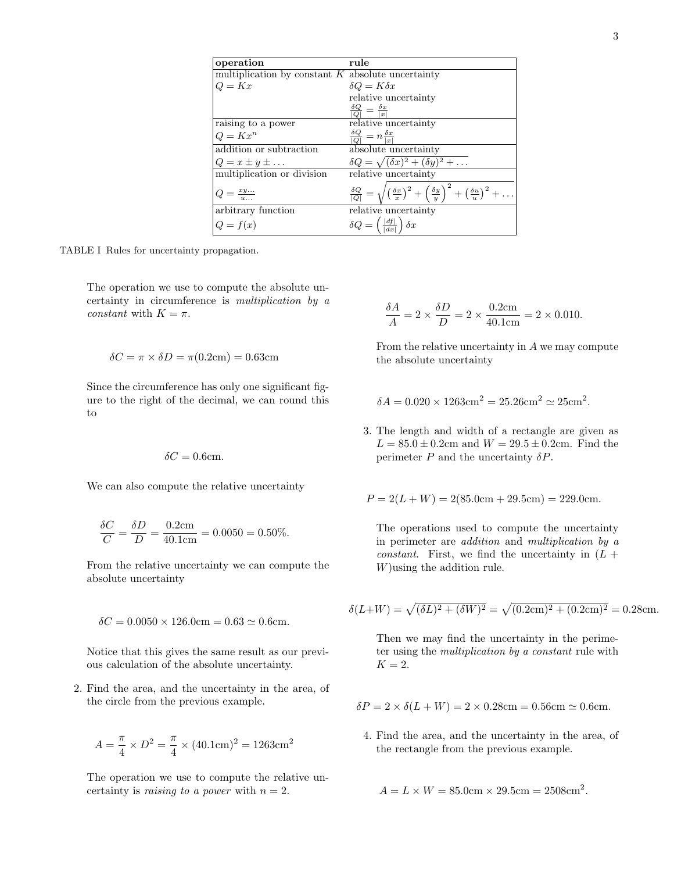| operation                                           | rule                                            |
|-----------------------------------------------------|-------------------------------------------------|
| multiplication by constant $K$ absolute uncertainty |                                                 |
| $Q = Kx$                                            | $\delta Q = K \delta x$                         |
|                                                     | relative uncertainty                            |
|                                                     | $\frac{\delta Q}{ Q } = \frac{\delta x}{ x }$   |
| raising to a power                                  | relative uncertainty                            |
| $Q = Kx^n$                                          | $\frac{\delta Q}{ Q } = n \frac{\delta x}{ x }$ |
| addition or cubtraction                             | abeoluto uncortainty                            |

 $\sqrt{(\delta x)^2 + (\delta y)^2 + \ldots}$ 

|  |  | TABLE I Rules for uncertainty propagation. |
|--|--|--------------------------------------------|
|  |  |                                            |

The operation we use to compute the absolute uncertainty in circumference is multiplication by a constant with  $K = \pi$ .

addition or subtraction  $Q = x \pm y \pm \ldots$ 

multiplication or division relative uncertainty

arbitrary function relative uncertainty

 $\delta Q$  $\frac{\delta Q}{|Q|} =$ 

 $\delta Q =$ 

 $\sqrt{a}$  $\delta x$ x  $)^{2} +$  $\left(\frac{\delta y}{y}\right)$  $\setminus^2$  $+\left(\frac{\delta u}{u}\right)$ 

 $\frac{|df|}{|dx|}$   $\delta x$ 

 $Q = \frac{xy...}{u...}$ 

 $Q = f(x)$ 

$$
\delta C = \pi \times \delta D = \pi (0.2 \text{cm}) = 0.63 \text{cm}
$$

Since the circumference has only one significant figure to the right of the decimal, we can round this to

$$
\delta C = 0.6 \text{cm}.
$$

We can also compute the relative uncertainty

$$
\frac{\delta C}{C} = \frac{\delta D}{D} = \frac{0.2 \text{cm}}{40.1 \text{cm}} = 0.0050 = 0.50\%.
$$

From the relative uncertainty we can compute the absolute uncertainty

$$
\delta C = 0.0050 \times 126.0 \text{cm} = 0.63 \simeq 0.6 \text{cm}.
$$

Notice that this gives the same result as our previous calculation of the absolute uncertainty.

2. Find the area, and the uncertainty in the area, of the circle from the previous example.

$$
A = \frac{\pi}{4} \times D^2 = \frac{\pi}{4} \times (40.1 \text{cm})^2 = 1263 \text{cm}^2
$$

The operation we use to compute the relative uncertainty is raising to a power with  $n = 2$ .

$$
\frac{\delta A}{A} = 2 \times \frac{\delta D}{D} = 2 \times \frac{0.2 \text{cm}}{40.1 \text{cm}} = 2 \times 0.010.
$$

From the relative uncertainty in A we may compute the absolute uncertainty

 $)^{2} + \ldots$ 

$$
\delta A = 0.020 \times 1263 \text{cm}^2 = 25.26 \text{cm}^2 \simeq 25 \text{cm}^2.
$$

3. The length and width of a rectangle are given as  $L = 85.0 \pm 0.2$ cm and  $W = 29.5 \pm 0.2$ cm. Find the perimeter  $P$  and the uncertainty  $\delta P$ .

$$
P = 2(L+W) = 2(85.0 \text{cm} + 29.5 \text{cm}) = 229.0 \text{cm}.
$$

The operations used to compute the uncertainty in perimeter are addition and multiplication by a *constant.* First, we find the uncertainty in  $(L +$ W)using the addition rule.

$$
\delta(L+W) = \sqrt{(\delta L)^2 + (\delta W)^2} = \sqrt{(0.2 \text{cm})^2 + (0.2 \text{cm})^2} = 0.28 \text{cm}.
$$

Then we may find the uncertainty in the perimeter using the multiplication by a constant rule with  $K = 2$ .

 $\delta P = 2 \times \delta (L + W) = 2 \times 0.28$ cm = 0.56cm  $\simeq$  0.6cm.

4. Find the area, and the uncertainty in the area, of the rectangle from the previous example.

$$
A = L \times W = 85.0
$$
cm  $\times$  29.5cm  $= 2508$ cm<sup>2</sup>.